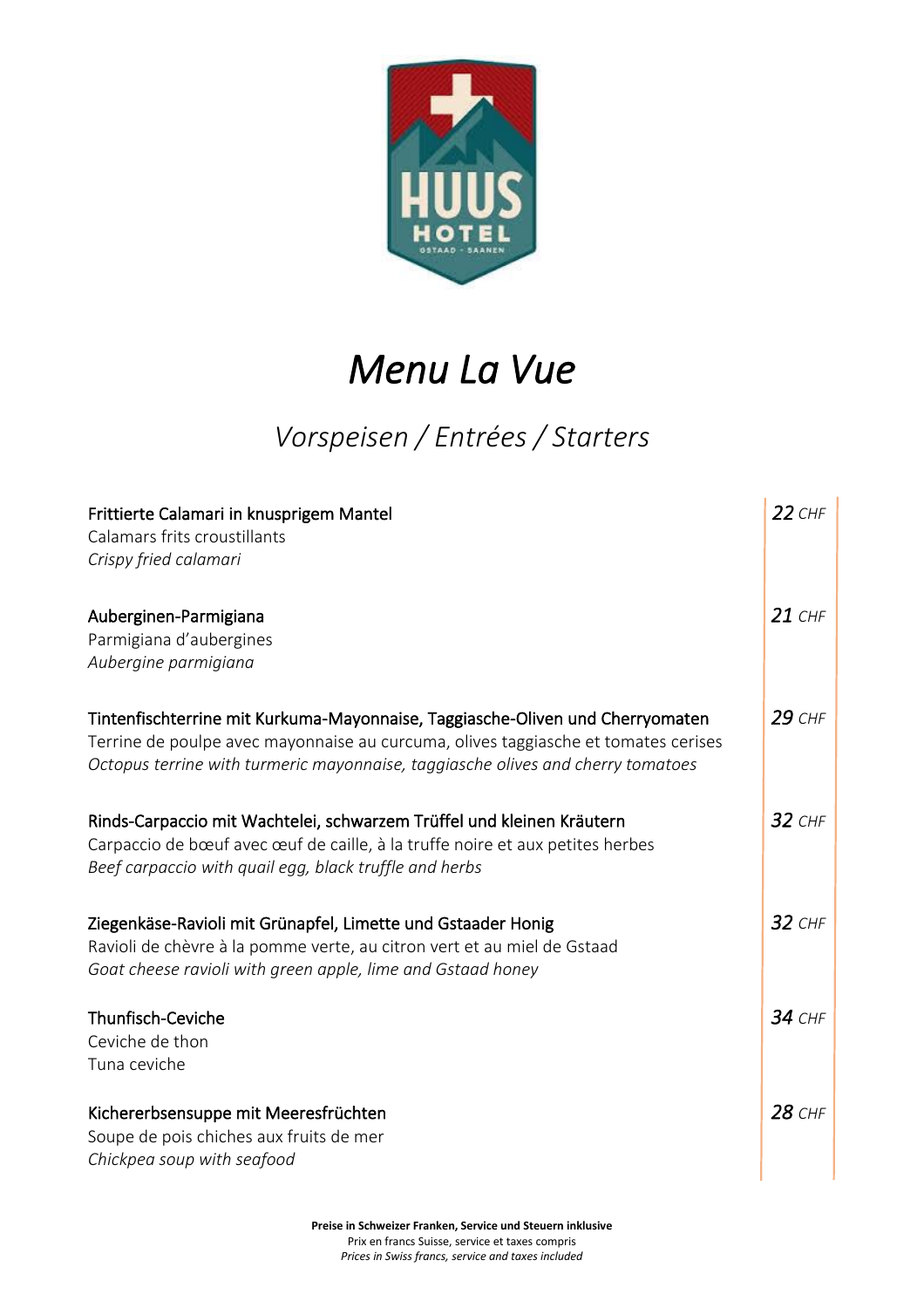

## *Menu La Vue*

#### *Vorspeisen / Entrées / Starters*

| Frittierte Calamari in knusprigem Mantel<br>Calamars frits croustillants<br>Crispy fried calamari                                                                                                                                                      | $22$ CHF      |
|--------------------------------------------------------------------------------------------------------------------------------------------------------------------------------------------------------------------------------------------------------|---------------|
| Auberginen-Parmigiana<br>Parmigiana d'aubergines<br>Aubergine parmigiana                                                                                                                                                                               | $21$ CHF      |
| Tintenfischterrine mit Kurkuma-Mayonnaise, Taggiasche-Oliven und Cherryomaten<br>Terrine de poulpe avec mayonnaise au curcuma, olives taggiasche et tomates cerises<br>Octopus terrine with turmeric mayonnaise, taggiasche olives and cherry tomatoes | 29 CHF        |
| Rinds-Carpaccio mit Wachtelei, schwarzem Trüffel und kleinen Kräutern<br>Carpaccio de bœuf avec œuf de caille, à la truffe noire et aux petites herbes<br>Beef carpaccio with quail egg, black truffle and herbs                                       | $32$ CHF      |
| Ziegenkäse-Ravioli mit Grünapfel, Limette und Gstaader Honig<br>Ravioli de chèvre à la pomme verte, au citron vert et au miel de Gstaad<br>Goat cheese ravioli with green apple, lime and Gstaad honey                                                 | $32$ CHF      |
| Thunfisch-Ceviche<br>Ceviche de thon<br>Tuna ceviche                                                                                                                                                                                                   | <b>34 CHF</b> |
| Kichererbsensuppe mit Meeresfrüchten<br>Soupe de pois chiches aux fruits de mer<br>Chickpea soup with seafood                                                                                                                                          | 28 CHF        |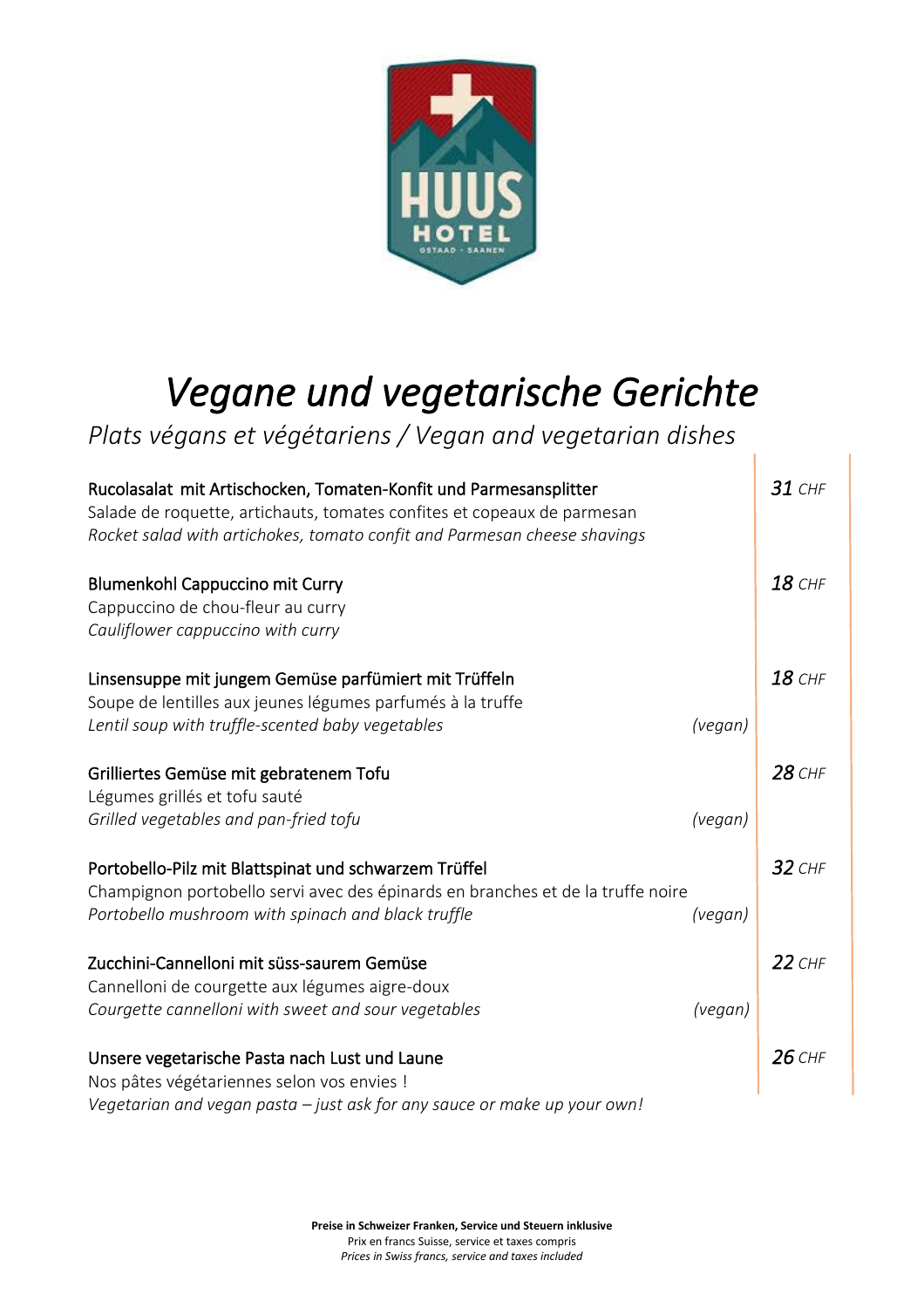

# *Vegane und vegetarische Gerichte*

T

*Plats végans et végétariens / Vegan and vegetarian dishes*

| Rucolasalat mit Artischocken, Tomaten-Konfit und Parmesansplitter<br>Salade de roquette, artichauts, tomates confites et copeaux de parmesan<br>Rocket salad with artichokes, tomato confit and Parmesan cheese shavings |         | $31$ CHF |
|--------------------------------------------------------------------------------------------------------------------------------------------------------------------------------------------------------------------------|---------|----------|
| <b>Blumenkohl Cappuccino mit Curry</b><br>Cappuccino de chou-fleur au curry<br>Cauliflower cappuccino with curry                                                                                                         |         | 18 CHF   |
| Linsensuppe mit jungem Gemüse parfümiert mit Trüffeln<br>Soupe de lentilles aux jeunes légumes parfumés à la truffe<br>Lentil soup with truffle-scented baby vegetables                                                  | (vegan) | $18$ CHF |
| Grilliertes Gemüse mit gebratenem Tofu<br>Légumes grillés et tofu sauté<br>Grilled vegetables and pan-fried tofu                                                                                                         | (vegan) | 28 CHF   |
| Portobello-Pilz mit Blattspinat und schwarzem Trüffel<br>Champignon portobello servi avec des épinards en branches et de la truffe noire<br>Portobello mushroom with spinach and black truffle                           | (vegan) | $32$ CHF |
| Zucchini-Cannelloni mit süss-saurem Gemüse<br>Cannelloni de courgette aux légumes aigre-doux<br>Courgette cannelloni with sweet and sour vegetables                                                                      | (vegan) | $22$ CHF |
| Unsere vegetarische Pasta nach Lust und Laune<br>Nos pâtes végétariennes selon vos envies !<br>Vegetarian and vegan pasta - just ask for any sauce or make up your own!                                                  |         | $26$ CHF |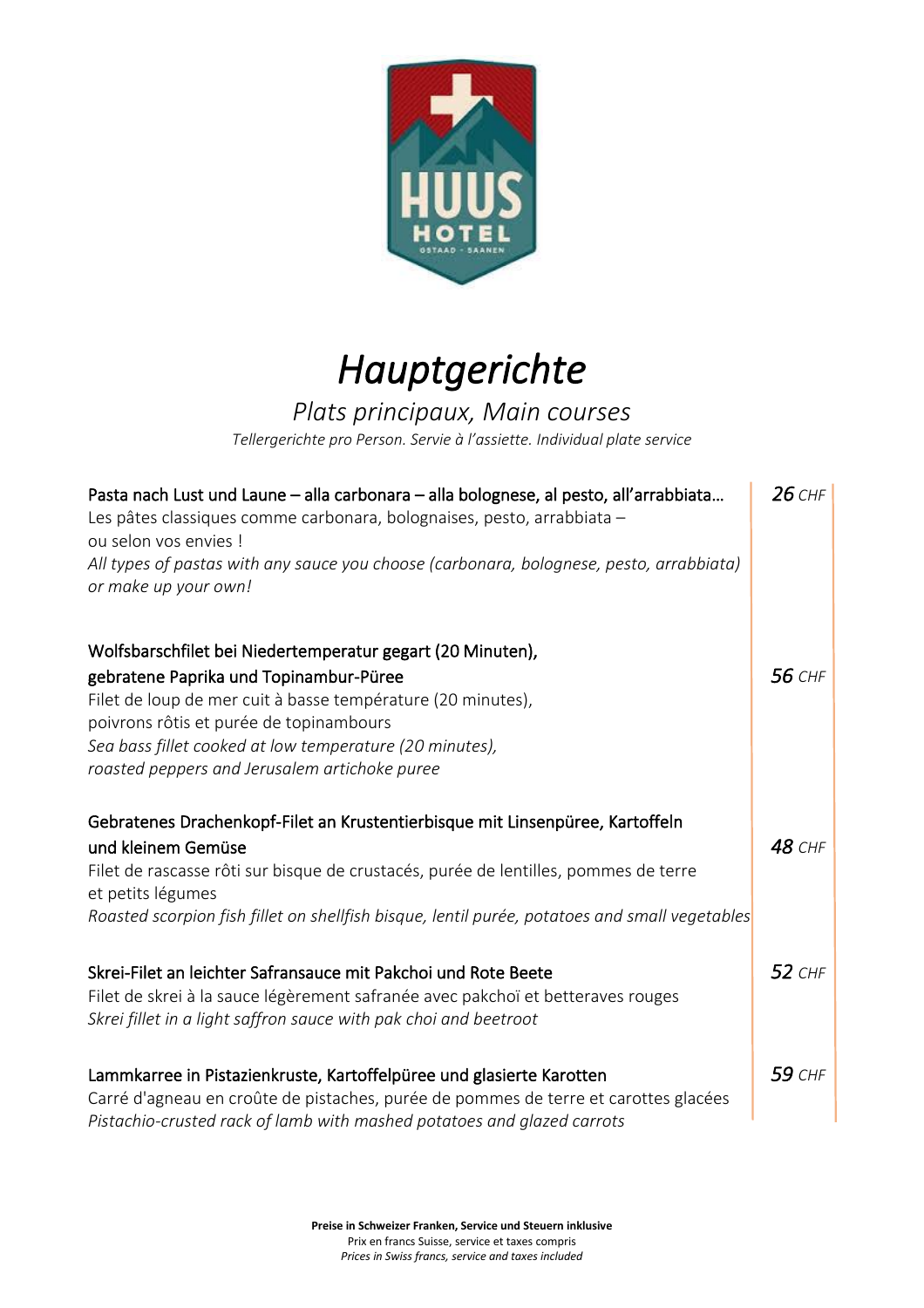

## *Hauptgerichte*

#### *Plats principaux, Main courses*

*Tellergerichte pro Person. Servie à l'assiette. Individual plate service*

| Pasta nach Lust und Laune - alla carbonara - alla bolognese, al pesto, all'arrabbiata<br>Les pâtes classiques comme carbonara, bolognaises, pesto, arrabbiata -<br>ou selon vos envies !<br>All types of pastas with any sauce you choose (carbonara, bolognese, pesto, arrabbiata)<br>or make up your own!                | $26$ CHF      |
|----------------------------------------------------------------------------------------------------------------------------------------------------------------------------------------------------------------------------------------------------------------------------------------------------------------------------|---------------|
| Wolfsbarschfilet bei Niedertemperatur gegart (20 Minuten),<br>gebratene Paprika und Topinambur-Püree<br>Filet de loup de mer cuit à basse température (20 minutes),<br>poivrons rôtis et purée de topinambours<br>Sea bass fillet cooked at low temperature (20 minutes),<br>roasted peppers and Jerusalem artichoke puree | <b>56 CHF</b> |
| Gebratenes Drachenkopf-Filet an Krustentierbisque mit Linsenpüree, Kartoffeln<br>und kleinem Gemüse<br>Filet de rascasse rôti sur bisque de crustacés, purée de lentilles, pommes de terre<br>et petits légumes<br>Roasted scorpion fish fillet on shellfish bisque, lentil purée, potatoes and small vegetables           | <b>48 CHF</b> |
| Skrei-Filet an leichter Safransauce mit Pakchoi und Rote Beete<br>Filet de skrei à la sauce légèrement safranée avec pakchoï et betteraves rouges<br>Skrei fillet in a light saffron sauce with pak choi and beetroot                                                                                                      | 52 CHF        |
| Lammkarree in Pistazienkruste, Kartoffelpüree und glasierte Karotten<br>Carré d'agneau en croûte de pistaches, purée de pommes de terre et carottes glacées<br>Pistachio-crusted rack of lamb with mashed potatoes and glazed carrots                                                                                      | 59 CHF        |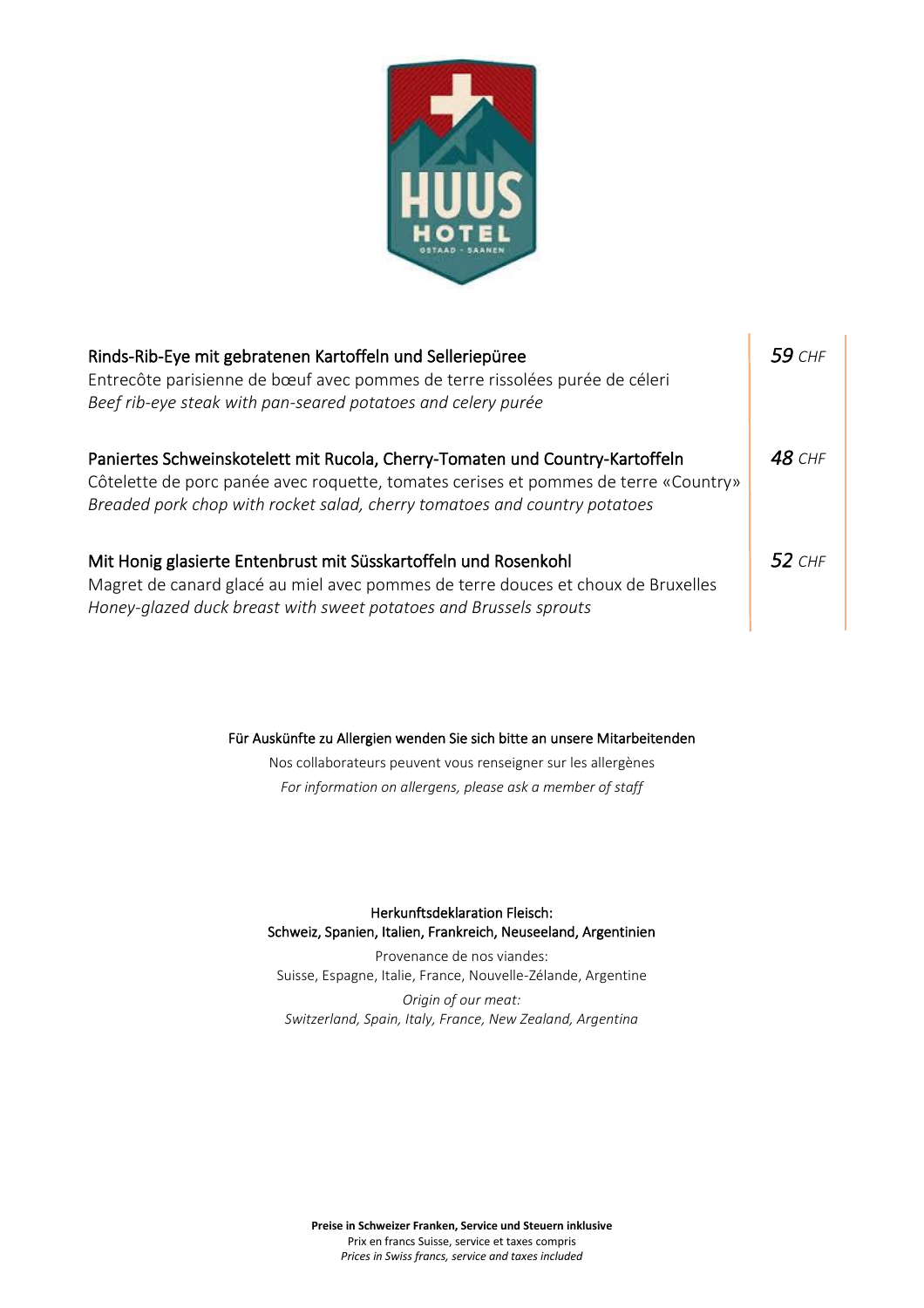

| Rinds-Rib-Eye mit gebratenen Kartoffeln und Selleriepüree<br>Entrecôte parisienne de bœuf avec pommes de terre rissolées purée de céleri<br>Beef rib-eye steak with pan-seared potatoes and celery purée                                         | $59$ CHF |
|--------------------------------------------------------------------------------------------------------------------------------------------------------------------------------------------------------------------------------------------------|----------|
| Paniertes Schweinskotelett mit Rucola, Cherry-Tomaten und Country-Kartoffeln<br>Côtelette de porc panée avec roquette, tomates cerises et pommes de terre «Country»<br>Breaded pork chop with rocket salad, cherry tomatoes and country potatoes | $48$ CHF |
| Mit Honig glasierte Entenbrust mit Süsskartoffeln und Rosenkohl<br>Magret de canard glacé au miel avec pommes de terre douces et choux de Bruxelles<br>Honey-glazed duck breast with sweet potatoes and Brussels sprouts                         | 52 $CHF$ |

Für Auskünfte zu Allergien wenden Sie sich bitte an unsere Mitarbeitenden

Nos collaborateurs peuvent vous renseigner sur les allergènes *For information on allergens, please ask a member of staff*

Herkunftsdeklaration Fleisch: Schweiz, Spanien, Italien, Frankreich, Neuseeland, Argentinien

Provenance de nos viandes: Suisse, Espagne, Italie, France, Nouvelle-Zélande, Argentine *Origin of our meat: Switzerland, Spain, Italy, France, New Zealand, Argentina*

**Preise in Schweizer Franken, Service und Steuern inklusive** Prix en francs Suisse, service et taxes compris *Prices in Swiss francs, service and taxes included*